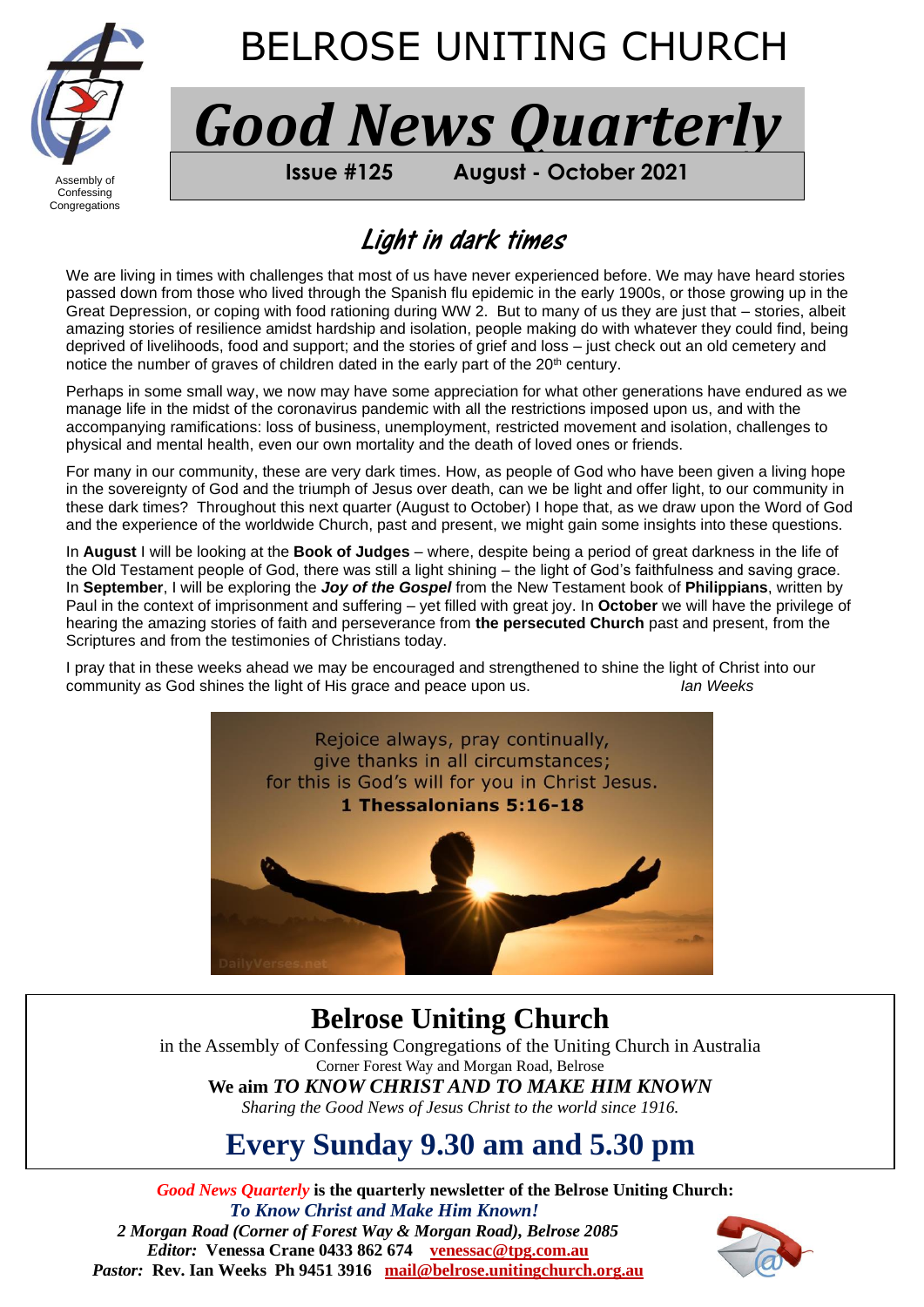

# BELROSE UNITING CHURCH

*Good News Quarterly*

Confessing **Congregations** 

j

Assembly of **FROM BELROSE UNITING CHURCH Issue #125 August - October 2021**

# Light in dark times

We are living in times with challenges that most of us have never experienced before. We may have heard stories passed down from those who lived through the Spanish flu epidemic in the early 1900s, or those growing up in the Great Depression, or coping with food rationing during WW 2. But to many of us they are just that – stories, albeit amazing stories of resilience amidst hardship and isolation, people making do with whatever they could find, being deprived of livelihoods, food and support; and the stories of grief and loss – just check out an old cemetery and notice the number of graves of children dated in the early part of the 20<sup>th</sup> century.

Perhaps in some small way, we now may have some appreciation for what other generations have endured as we manage life in the midst of the coronavirus pandemic with all the restrictions imposed upon us, and with the accompanying ramifications: loss of business, unemployment, restricted movement and isolation, challenges to physical and mental health, even our own mortality and the death of loved ones or friends.

For many in our community, these are very dark times. How, as people of God who have been given a living hope in the sovereignty of God and the triumph of Jesus over death, can we be light and offer light, to our community in these dark times? Throughout this next quarter (August to October) I hope that, as we draw upon the Word of God and the experience of the worldwide Church, past and present, we might gain some insights into these questions.

In **August** I will be looking at the **Book of Judges** – where, despite being a period of great darkness in the life of the Old Testament people of God, there was still a light shining – the light of God's faithfulness and saving grace. In **September**, I will be exploring the *Joy of the Gospel* from the New Testament book of **Philippians**, written by Paul in the context of imprisonment and suffering – yet filled with great joy. In **October** we will have the privilege of hearing the amazing stories of faith and perseverance from **the persecuted Church** past and present, from the Scriptures and from the testimonies of Christians today.

I pray that in these weeks ahead we may be encouraged and strengthened to shine the light of Christ into our community as God shines the light of His grace and peace upon us. *Ian Weeks*



## **Belrose Uniting Church**

in the Assembly of Confessing Congregations of the Uniting Church in Australia Corner Forest Way and Morgan Road, Belrose **We aim** *TO KNOW CHRIST AND TO MAKE HIM KNOWN*

*Sharing the Good News of Jesus Christ to the world since 1916.*

# **Every Sunday 9.30 am and 5.30 pm**

*Good News Quarterly* **is the quarterly newsletter of the Belrose Uniting Church:**  *To Know Christ and Make Him Known! 2 Morgan Road (Corner of Forest Way & Morgan Road), Belrose 2085 Editor:* **Venessa Crane 0433 862 674****[venessac@tpg.com.au](mailto:venessac@tpg.com.au)** *Pastor:* **Rev. Ian Weeks Ph 9451 3916****[mail@belrose.unitingchurch.org.au](mailto:mail@belrose.unitingchurch.org.au)**

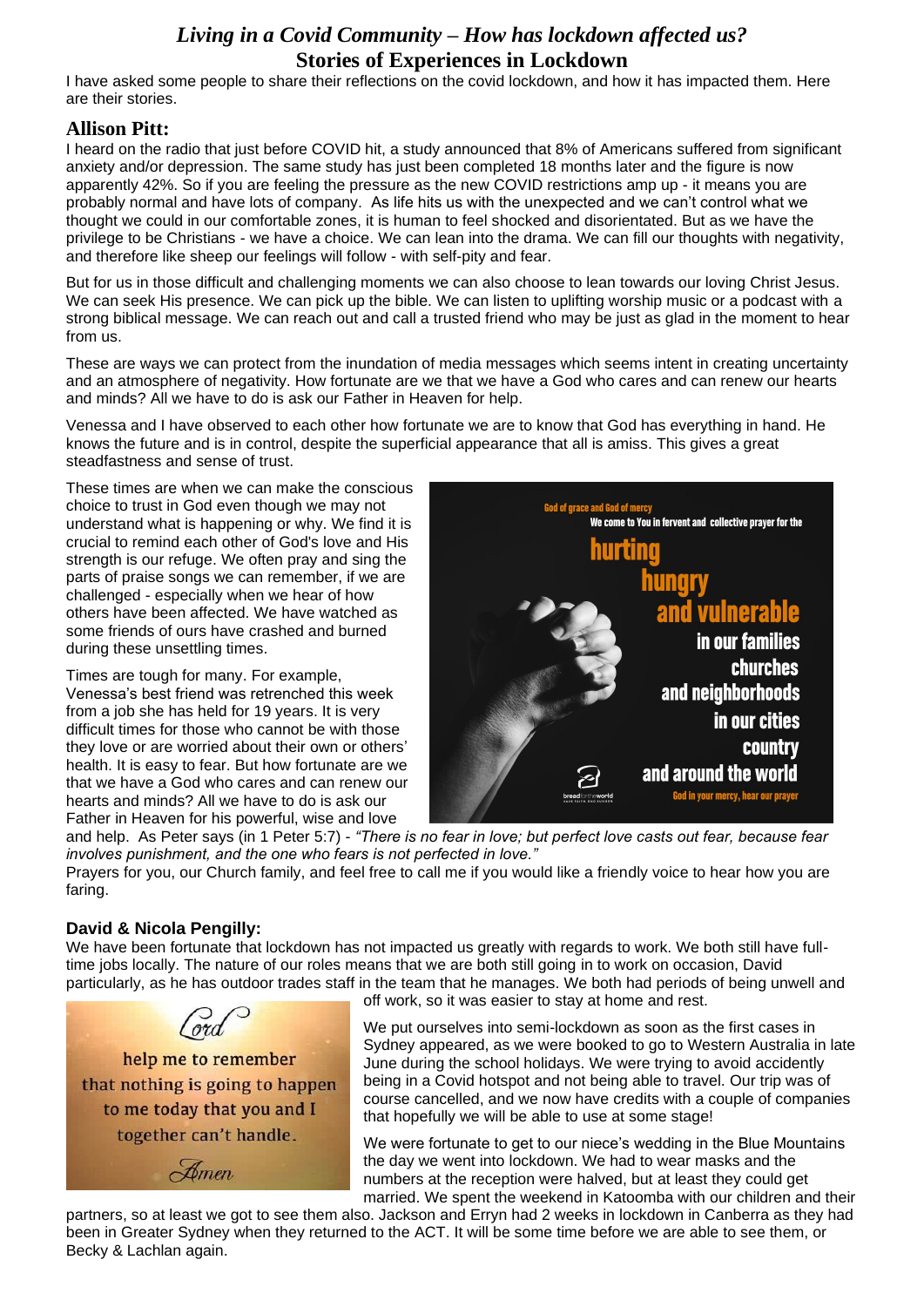### *Living in a Covid Community* **–** *How has lockdown affected us?* **Stories of Experiences in Lockdown**

I have asked some people to share their reflections on the covid lockdown, and how it has impacted them. Here are their stories.

### **Allison Pitt:**

I heard on the radio that just before COVID hit, a study announced that 8% of Americans suffered from significant anxiety and/or depression. The same study has just been completed 18 months later and the figure is now apparently 42%. So if you are feeling the pressure as the new COVID restrictions amp up - it means you are probably normal and have lots of company. As life hits us with the unexpected and we can't control what we thought we could in our comfortable zones, it is human to feel shocked and disorientated. But as we have the privilege to be Christians - we have a choice. We can lean into the drama. We can fill our thoughts with negativity, and therefore like sheep our feelings will follow - with self-pity and fear.

But for us in those difficult and challenging moments we can also choose to lean towards our loving Christ Jesus. We can seek His presence. We can pick up the bible. We can listen to uplifting worship music or a podcast with a strong biblical message. We can reach out and call a trusted friend who may be just as glad in the moment to hear from us.

These are ways we can protect from the inundation of media messages which seems intent in creating uncertainty and an atmosphere of negativity. How fortunate are we that we have a God who cares and can renew our hearts and minds? All we have to do is ask our Father in Heaven for help.

Venessa and I have observed to each other how fortunate we are to know that God has everything in hand. He knows the future and is in control, despite the superficial appearance that all is amiss. This gives a great steadfastness and sense of trust.

These times are when we can make the conscious choice to trust in God even though we may not understand what is happening or why. We find it is crucial to remind each other of God's love and His strength is our refuge. We often pray and sing the parts of praise songs we can remember, if we are challenged - especially when we hear of how others have been affected. We have watched as some friends of ours have crashed and burned during these unsettling times.

Times are tough for many. For example, Venessa's best friend was retrenched this week from a job she has held for 19 years. It is very difficult times for those who cannot be with those they love or are worried about their own or others' health. It is easy to fear. But how fortunate are we that we have a God who cares and can renew our hearts and minds? All we have to do is ask our Father in Heaven for his powerful, wise and love



and help. As Peter says (in 1 Peter 5:7) - *"There is no fear in love; but perfect love casts out fear, because fear involves punishment, and the one who fears is not perfected in love."*

Prayers for you, our Church family, and feel free to call me if you would like a friendly voice to hear how you are faring.

#### **David & Nicola Pengilly:**

We have been fortunate that lockdown has not impacted us greatly with regards to work. We both still have fulltime jobs locally. The nature of our roles means that we are both still going in to work on occasion, David particularly, as he has outdoor trades staff in the team that he manages. We both had periods of being unwell and

help me to remember that nothing is going to happen to me today that you and I together can't handle. Amen

off work, so it was easier to stay at home and rest.

We put ourselves into semi-lockdown as soon as the first cases in Sydney appeared, as we were booked to go to Western Australia in late June during the school holidays. We were trying to avoid accidently being in a Covid hotspot and not being able to travel. Our trip was of course cancelled, and we now have credits with a couple of companies that hopefully we will be able to use at some stage!

We were fortunate to get to our niece's wedding in the Blue Mountains the day we went into lockdown. We had to wear masks and the numbers at the reception were halved, but at least they could get married. We spent the weekend in Katoomba with our children and their

partners, so at least we got to see them also. Jackson and Erryn had 2 weeks in lockdown in Canberra as they had been in Greater Sydney when they returned to the ACT. It will be some time before we are able to see them, or Becky & Lachlan again.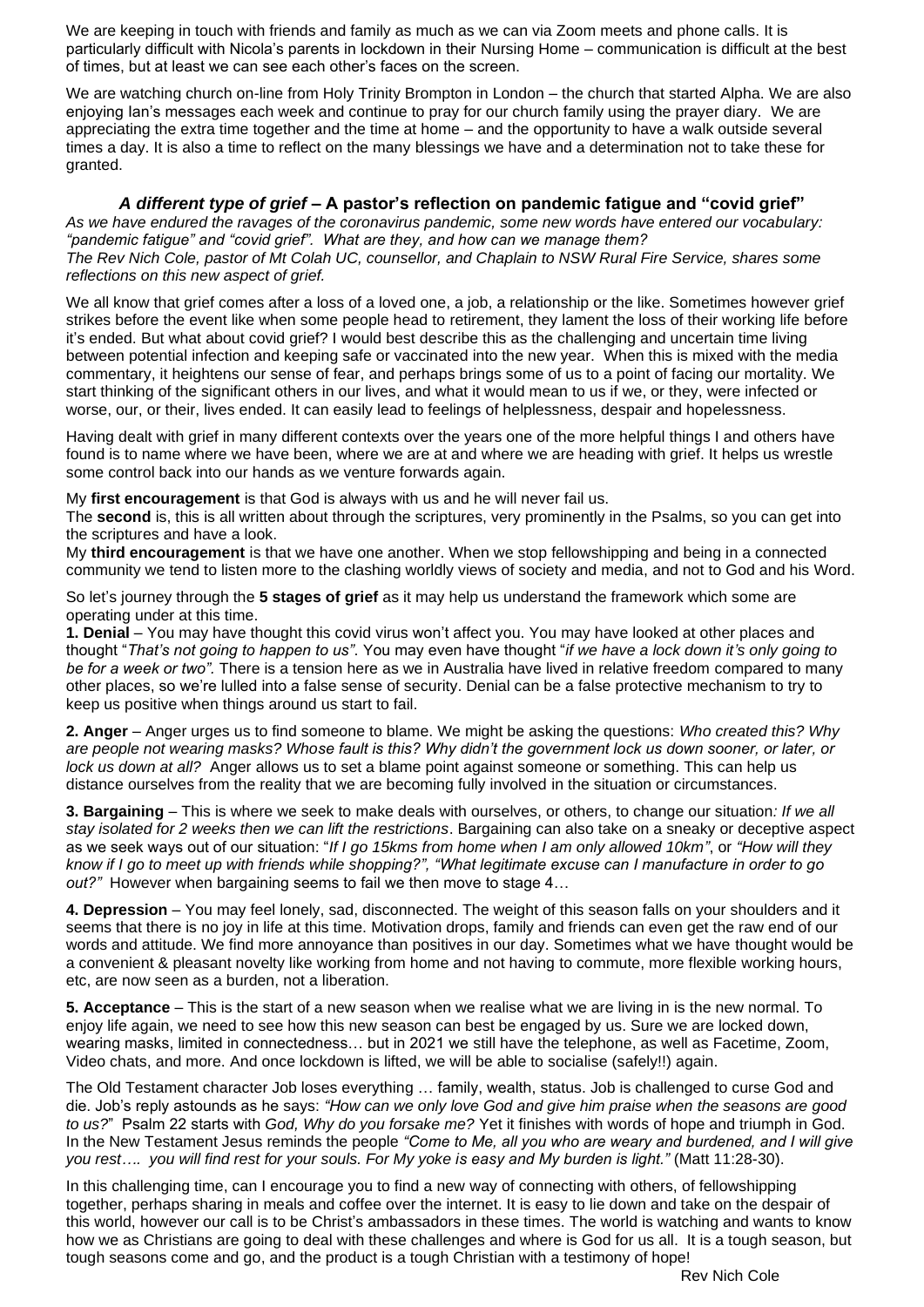We are keeping in touch with friends and family as much as we can via Zoom meets and phone calls. It is particularly difficult with Nicola's parents in lockdown in their Nursing Home – communication is difficult at the best of times, but at least we can see each other's faces on the screen.

We are watching church on-line from Holy Trinity Brompton in London – the church that started Alpha. We are also enjoying Ian's messages each week and continue to pray for our church family using the prayer diary. We are appreciating the extra time together and the time at home – and the opportunity to have a walk outside several times a day. It is also a time to reflect on the many blessings we have and a determination not to take these for granted.

#### *A different type of grief* **– A pastor's reflection on pandemic fatigue and "covid grief"**

*As we have endured the ravages of the coronavirus pandemic, some new words have entered our vocabulary: "pandemic fatigue" and "covid grief". What are they, and how can we manage them? The Rev Nich Cole, pastor of Mt Colah UC, counsellor, and Chaplain to NSW Rural Fire Service, shares some reflections on this new aspect of grief.*

We all know that grief comes after a loss of a loved one, a job, a relationship or the like. Sometimes however grief strikes before the event like when some people head to retirement, they lament the loss of their working life before it's ended. But what about covid grief? I would best describe this as the challenging and uncertain time living between potential infection and keeping safe or vaccinated into the new year. When this is mixed with the media commentary, it heightens our sense of fear, and perhaps brings some of us to a point of facing our mortality. We start thinking of the significant others in our lives, and what it would mean to us if we, or they, were infected or worse, our, or their, lives ended. It can easily lead to feelings of helplessness, despair and hopelessness.

Having dealt with grief in many different contexts over the years one of the more helpful things I and others have found is to name where we have been, where we are at and where we are heading with grief. It helps us wrestle some control back into our hands as we venture forwards again.

My **first encouragement** is that God is always with us and he will never fail us.

The **second** is, this is all written about through the scriptures, very prominently in the Psalms, so you can get into the scriptures and have a look.

My **third encouragement** is that we have one another. When we stop fellowshipping and being in a connected community we tend to listen more to the clashing worldly views of society and media, and not to God and his Word.

So let's journey through the **5 stages of grief** as it may help us understand the framework which some are operating under at this time.

**1. Denial** – You may have thought this covid virus won't affect you. You may have looked at other places and thought "*That's not going to happen to us"*. You may even have thought "*if we have a lock down it's only going to be for a week or two".* There is a tension here as we in Australia have lived in relative freedom compared to many other places, so we're lulled into a false sense of security. Denial can be a false protective mechanism to try to keep us positive when things around us start to fail.

**2. Anger** – Anger urges us to find someone to blame. We might be asking the questions: *Who created this? Why are people not wearing masks? Whose fault is this? Why didn't the government lock us down sooner, or later, or lock us down at all?* Anger allows us to set a blame point against someone or something. This can help us distance ourselves from the reality that we are becoming fully involved in the situation or circumstances.

**3. Bargaining** – This is where we seek to make deals with ourselves, or others, to change our situation*: If we all stay isolated for 2 weeks then we can lift the restrictions*. Bargaining can also take on a sneaky or deceptive aspect as we seek ways out of our situation: "*If I go 15kms from home when I am only allowed 10km"*, or *"How will they know if I go to meet up with friends while shopping?", "What legitimate excuse can I manufacture in order to go out?"* However when bargaining seems to fail we then move to stage 4…

**4. Depression** – You may feel lonely, sad, disconnected. The weight of this season falls on your shoulders and it seems that there is no joy in life at this time. Motivation drops, family and friends can even get the raw end of our words and attitude. We find more annoyance than positives in our day. Sometimes what we have thought would be a convenient & pleasant novelty like working from home and not having to commute, more flexible working hours, etc, are now seen as a burden, not a liberation.

**5. Acceptance** – This is the start of a new season when we realise what we are living in is the new normal. To enjoy life again, we need to see how this new season can best be engaged by us. Sure we are locked down, wearing masks, limited in connectedness… but in 2021 we still have the telephone, as well as Facetime, Zoom, Video chats, and more. And once lockdown is lifted, we will be able to socialise (safely!!) again.

The Old Testament character Job loses everything … family, wealth, status. Job is challenged to curse God and die. Job's reply astounds as he says: *"How can we only love God and give him praise when the seasons are good to us?*" Psalm 22 starts with *God, Why do you forsake me?* Yet it finishes with words of hope and triumph in God. In the New Testament Jesus reminds the people *"Come to Me, all you who are weary and burdened, and I will give you rest…. you will find rest for your souls. For My yoke is easy and My burden is light."* (Matt 11:28-30).

In this challenging time, can I encourage you to find a new way of connecting with others, of fellowshipping together, perhaps sharing in meals and coffee over the internet. It is easy to lie down and take on the despair of this world, however our call is to be Christ's ambassadors in these times. The world is watching and wants to know how we as Christians are going to deal with these challenges and where is God for us all. It is a tough season, but tough seasons come and go, and the product is a tough Christian with a testimony of hope!